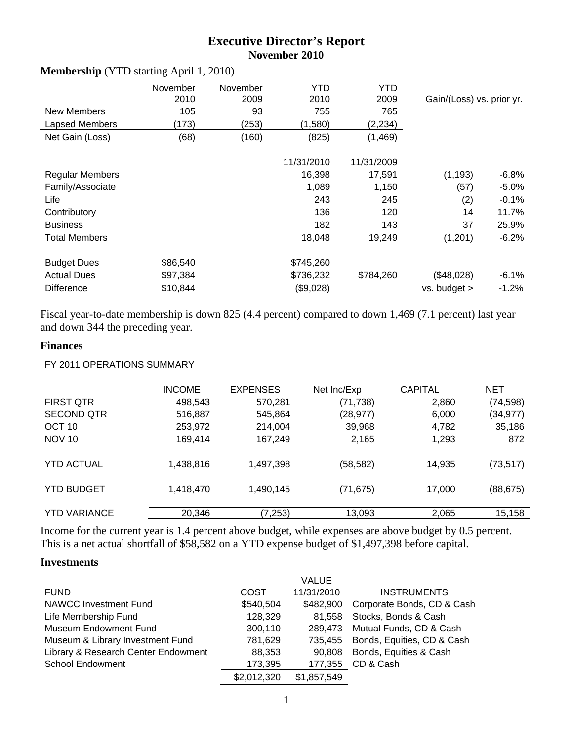# **Executive Director's Report November 2010**

|                        | November<br>2010 | November<br>2009 | <b>YTD</b><br>2010 | YTD<br>2009 | Gain/(Loss) vs. prior yr. |          |
|------------------------|------------------|------------------|--------------------|-------------|---------------------------|----------|
| New Members            | 105              | 93               | 755                | 765         |                           |          |
| Lapsed Members         | (173)            | (253)            | (1,580)            | (2, 234)    |                           |          |
| Net Gain (Loss)        | (68)             | (160)            | (825)              | (1,469)     |                           |          |
|                        |                  |                  | 11/31/2010         | 11/31/2009  |                           |          |
| <b>Regular Members</b> |                  |                  | 16,398             | 17,591      | (1, 193)                  | $-6.8%$  |
| Family/Associate       |                  |                  | 1,089              | 1,150       | (57)                      | $-5.0%$  |
| Life                   |                  |                  | 243                | 245         | (2)                       | $-0.1\%$ |
| Contributory           |                  |                  | 136                | 120         | 14                        | 11.7%    |
| <b>Business</b>        |                  |                  | 182                | 143         | 37                        | 25.9%    |
| <b>Total Members</b>   |                  |                  | 18,048             | 19,249      | (1,201)                   | $-6.2%$  |
| <b>Budget Dues</b>     | \$86,540         |                  | \$745,260          |             |                           |          |
| <b>Actual Dues</b>     | \$97,384         |                  | \$736,232          | \$784,260   | (\$48,028)                | $-6.1%$  |
| <b>Difference</b>      | \$10,844         |                  | (\$9,028)          |             | vs. budget >              | $-1.2%$  |

#### **Membership** (YTD starting April 1, 2010)

Fiscal year-to-date membership is down 825 (4.4 percent) compared to down 1,469 (7.1 percent) last year and down 344 the preceding year.

#### **Finances**

#### FY 2011 OPERATIONS SUMMARY

|                     | <b>INCOME</b> | <b>EXPENSES</b> | Net Inc/Exp | <b>CAPITAL</b> | <b>NET</b> |
|---------------------|---------------|-----------------|-------------|----------------|------------|
| <b>FIRST QTR</b>    | 498,543       | 570,281         | (71,738)    | 2,860          | (74, 598)  |
| <b>SECOND QTR</b>   | 516,887       | 545,864         | (28, 977)   | 6,000          | (34,977)   |
| OCT <sub>10</sub>   | 253,972       | 214,004         | 39,968      | 4,782          | 35,186     |
| <b>NOV 10</b>       | 169.414       | 167,249         | 2,165       | 1,293          | 872        |
| <b>YTD ACTUAL</b>   | 1,438,816     | 1,497,398       | (58, 582)   | 14,935         | (73,517)   |
| <b>YTD BUDGET</b>   | 1,418,470     | 1,490,145       | (71, 675)   | 17,000         | (88, 675)  |
| <b>YTD VARIANCE</b> | 20,346        | (7,253)         | 13,093      | 2,065          | 15,158     |

Income for the current year is 1.4 percent above budget, while expenses are above budget by 0.5 percent. This is a net actual shortfall of \$58,582 on a YTD expense budget of \$1,497,398 before capital.

#### **Investments**

|                                     |             | <b>VALUE</b> |                            |
|-------------------------------------|-------------|--------------|----------------------------|
| <b>FUND</b>                         | COST        | 11/31/2010   | <b>INSTRUMENTS</b>         |
| <b>NAWCC Investment Fund</b>        | \$540,504   | \$482,900    | Corporate Bonds, CD & Cash |
| Life Membership Fund                | 128,329     | 81.558       | Stocks, Bonds & Cash       |
| <b>Museum Endowment Fund</b>        | 300,110     | 289.473      | Mutual Funds, CD & Cash    |
| Museum & Library Investment Fund    | 781,629     | 735,455      | Bonds, Equities, CD & Cash |
| Library & Research Center Endowment | 88,353      | 90,808       | Bonds, Equities & Cash     |
| <b>School Endowment</b>             | 173,395     | 177,355      | CD & Cash                  |
|                                     | \$2,012,320 | \$1,857,549  |                            |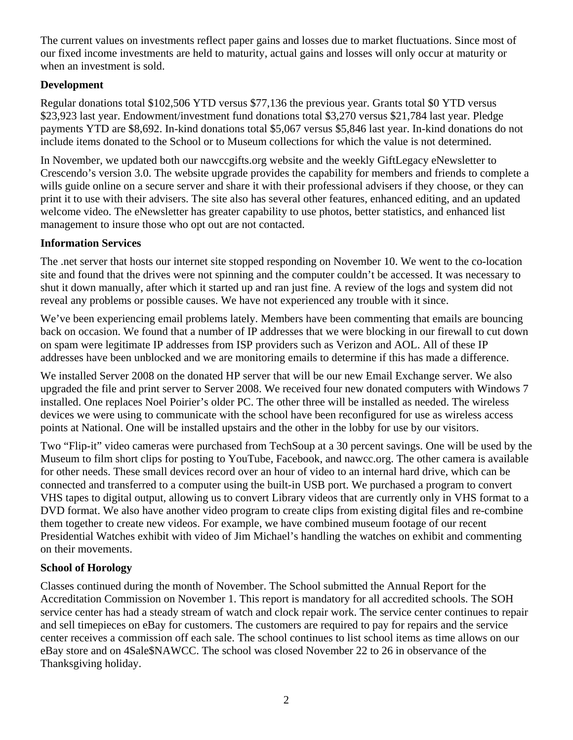The current values on investments reflect paper gains and losses due to market fluctuations. Since most of our fixed income investments are held to maturity, actual gains and losses will only occur at maturity or when an investment is sold.

## **Development**

Regular donations total \$102,506 YTD versus \$77,136 the previous year. Grants total \$0 YTD versus \$23,923 last year. Endowment/investment fund donations total \$3,270 versus \$21,784 last year. Pledge payments YTD are \$8,692. In-kind donations total \$5,067 versus \$5,846 last year. In-kind donations do not include items donated to the School or to Museum collections for which the value is not determined.

In November, we updated both our nawccgifts.org website and the weekly GiftLegacy eNewsletter to Crescendo's version 3.0. The website upgrade provides the capability for members and friends to complete a wills guide online on a secure server and share it with their professional advisers if they choose, or they can print it to use with their advisers. The site also has several other features, enhanced editing, and an updated welcome video. The eNewsletter has greater capability to use photos, better statistics, and enhanced list management to insure those who opt out are not contacted.

## **Information Services**

The .net server that hosts our internet site stopped responding on November 10. We went to the co-location site and found that the drives were not spinning and the computer couldn't be accessed. It was necessary to shut it down manually, after which it started up and ran just fine. A review of the logs and system did not reveal any problems or possible causes. We have not experienced any trouble with it since.

We've been experiencing email problems lately. Members have been commenting that emails are bouncing back on occasion. We found that a number of IP addresses that we were blocking in our firewall to cut down on spam were legitimate IP addresses from ISP providers such as Verizon and AOL. All of these IP addresses have been unblocked and we are monitoring emails to determine if this has made a difference.

We installed Server 2008 on the donated HP server that will be our new Email Exchange server. We also upgraded the file and print server to Server 2008. We received four new donated computers with Windows 7 installed. One replaces Noel Poirier's older PC. The other three will be installed as needed. The wireless devices we were using to communicate with the school have been reconfigured for use as wireless access points at National. One will be installed upstairs and the other in the lobby for use by our visitors.

Two "Flip-it" video cameras were purchased from TechSoup at a 30 percent savings. One will be used by the Museum to film short clips for posting to YouTube, Facebook, and nawcc.org. The other camera is available for other needs. These small devices record over an hour of video to an internal hard drive, which can be connected and transferred to a computer using the built-in USB port. We purchased a program to convert VHS tapes to digital output, allowing us to convert Library videos that are currently only in VHS format to a DVD format. We also have another video program to create clips from existing digital files and re-combine them together to create new videos. For example, we have combined museum footage of our recent Presidential Watches exhibit with video of Jim Michael's handling the watches on exhibit and commenting on their movements.

### **School of Horology**

Classes continued during the month of November. The School submitted the Annual Report for the Accreditation Commission on November 1. This report is mandatory for all accredited schools. The SOH service center has had a steady stream of watch and clock repair work. The service center continues to repair and sell timepieces on eBay for customers. The customers are required to pay for repairs and the service center receives a commission off each sale. The school continues to list school items as time allows on our eBay store and on 4Sale\$NAWCC. The school was closed November 22 to 26 in observance of the Thanksgiving holiday.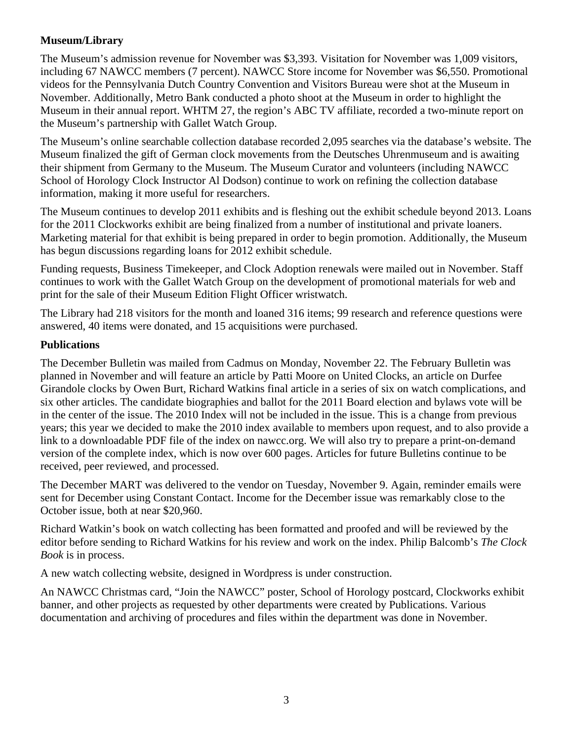## **Museum/Library**

The Museum's admission revenue for November was \$3,393. Visitation for November was 1,009 visitors, including 67 NAWCC members (7 percent). NAWCC Store income for November was \$6,550. Promotional videos for the Pennsylvania Dutch Country Convention and Visitors Bureau were shot at the Museum in November. Additionally, Metro Bank conducted a photo shoot at the Museum in order to highlight the Museum in their annual report. WHTM 27, the region's ABC TV affiliate, recorded a two-minute report on the Museum's partnership with Gallet Watch Group.

The Museum's online searchable collection database recorded 2,095 searches via the database's website. The Museum finalized the gift of German clock movements from the Deutsches Uhrenmuseum and is awaiting their shipment from Germany to the Museum. The Museum Curator and volunteers (including NAWCC School of Horology Clock Instructor Al Dodson) continue to work on refining the collection database information, making it more useful for researchers.

The Museum continues to develop 2011 exhibits and is fleshing out the exhibit schedule beyond 2013. Loans for the 2011 Clockworks exhibit are being finalized from a number of institutional and private loaners. Marketing material for that exhibit is being prepared in order to begin promotion. Additionally, the Museum has begun discussions regarding loans for 2012 exhibit schedule.

Funding requests, Business Timekeeper, and Clock Adoption renewals were mailed out in November. Staff continues to work with the Gallet Watch Group on the development of promotional materials for web and print for the sale of their Museum Edition Flight Officer wristwatch.

The Library had 218 visitors for the month and loaned 316 items; 99 research and reference questions were answered, 40 items were donated, and 15 acquisitions were purchased.

### **Publications**

The December Bulletin was mailed from Cadmus on Monday, November 22. The February Bulletin was planned in November and will feature an article by Patti Moore on United Clocks, an article on Durfee Girandole clocks by Owen Burt, Richard Watkins final article in a series of six on watch complications, and six other articles. The candidate biographies and ballot for the 2011 Board election and bylaws vote will be in the center of the issue. The 2010 Index will not be included in the issue. This is a change from previous years; this year we decided to make the 2010 index available to members upon request, and to also provide a link to a downloadable PDF file of the index on nawcc.org. We will also try to prepare a print-on-demand version of the complete index, which is now over 600 pages. Articles for future Bulletins continue to be received, peer reviewed, and processed.

The December MART was delivered to the vendor on Tuesday, November 9. Again, reminder emails were sent for December using Constant Contact. Income for the December issue was remarkably close to the October issue, both at near \$20,960.

Richard Watkin's book on watch collecting has been formatted and proofed and will be reviewed by the editor before sending to Richard Watkins for his review and work on the index. Philip Balcomb's *The Clock Book* is in process.

A new watch collecting website, designed in Wordpress is under construction.

An NAWCC Christmas card, "Join the NAWCC" poster, School of Horology postcard, Clockworks exhibit banner, and other projects as requested by other departments were created by Publications. Various documentation and archiving of procedures and files within the department was done in November.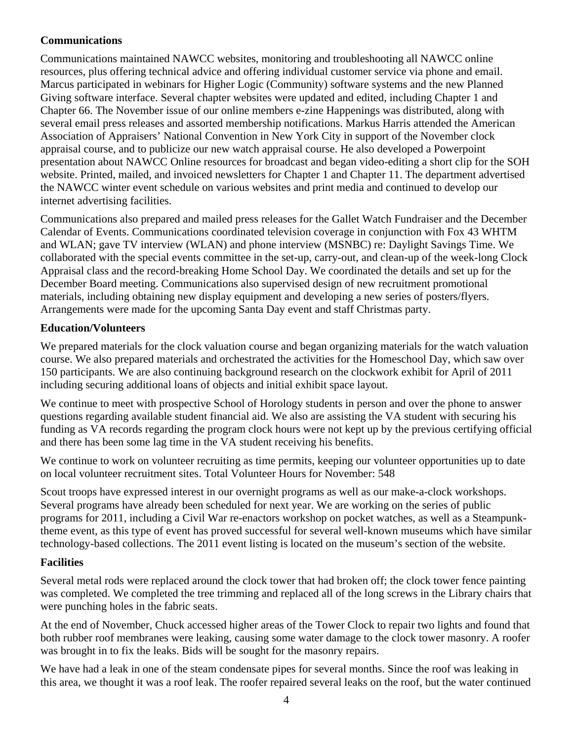## **Communications**

Communications maintained NAWCC websites, monitoring and troubleshooting all NAWCC online resources, plus offering technical advice and offering individual customer service via phone and email. Marcus participated in webinars for Higher Logic (Community) software systems and the new Planned Giving software interface. Several chapter websites were updated and edited, including Chapter 1 and Chapter 66. The November issue of our online members e-zine Happenings was distributed, along with several email press releases and assorted membership notifications. Markus Harris attended the American Association of Appraisers' National Convention in New York City in support of the November clock appraisal course, and to publicize our new watch appraisal course. He also developed a Powerpoint presentation about NAWCC Online resources for broadcast and began video-editing a short clip for the SOH website. Printed, mailed, and invoiced newsletters for Chapter 1 and Chapter 11. The department advertised the NAWCC winter event schedule on various websites and print media and continued to develop our internet advertising facilities.

Communications also prepared and mailed press releases for the Gallet Watch Fundraiser and the December Calendar of Events. Communications coordinated television coverage in conjunction with Fox 43 WHTM and WLAN; gave TV interview (WLAN) and phone interview (MSNBC) re: Daylight Savings Time. We collaborated with the special events committee in the set-up, carry-out, and clean-up of the week-long Clock Appraisal class and the record-breaking Home School Day. We coordinated the details and set up for the December Board meeting. Communications also supervised design of new recruitment promotional materials, including obtaining new display equipment and developing a new series of posters/flyers. Arrangements were made for the upcoming Santa Day event and staff Christmas party.

### **Education/Volunteers**

We prepared materials for the clock valuation course and began organizing materials for the watch valuation course. We also prepared materials and orchestrated the activities for the Homeschool Day, which saw over 150 participants. We are also continuing background research on the clockwork exhibit for April of 2011 including securing additional loans of objects and initial exhibit space layout.

We continue to meet with prospective School of Horology students in person and over the phone to answer questions regarding available student financial aid. We also are assisting the VA student with securing his funding as VA records regarding the program clock hours were not kept up by the previous certifying official and there has been some lag time in the VA student receiving his benefits.

We continue to work on volunteer recruiting as time permits, keeping our volunteer opportunities up to date on local volunteer recruitment sites. Total Volunteer Hours for November: 548

Scout troops have expressed interest in our overnight programs as well as our make-a-clock workshops. Several programs have already been scheduled for next year. We are working on the series of public programs for 2011, including a Civil War re-enactors workshop on pocket watches, as well as a Steampunktheme event, as this type of event has proved successful for several well-known museums which have similar technology-based collections. The 2011 event listing is located on the museum's section of the website.

### **Facilities**

Several metal rods were replaced around the clock tower that had broken off; the clock tower fence painting was completed. We completed the tree trimming and replaced all of the long screws in the Library chairs that were punching holes in the fabric seats.

At the end of November, Chuck accessed higher areas of the Tower Clock to repair two lights and found that both rubber roof membranes were leaking, causing some water damage to the clock tower masonry. A roofer was brought in to fix the leaks. Bids will be sought for the masonry repairs.

We have had a leak in one of the steam condensate pipes for several months. Since the roof was leaking in this area, we thought it was a roof leak. The roofer repaired several leaks on the roof, but the water continued